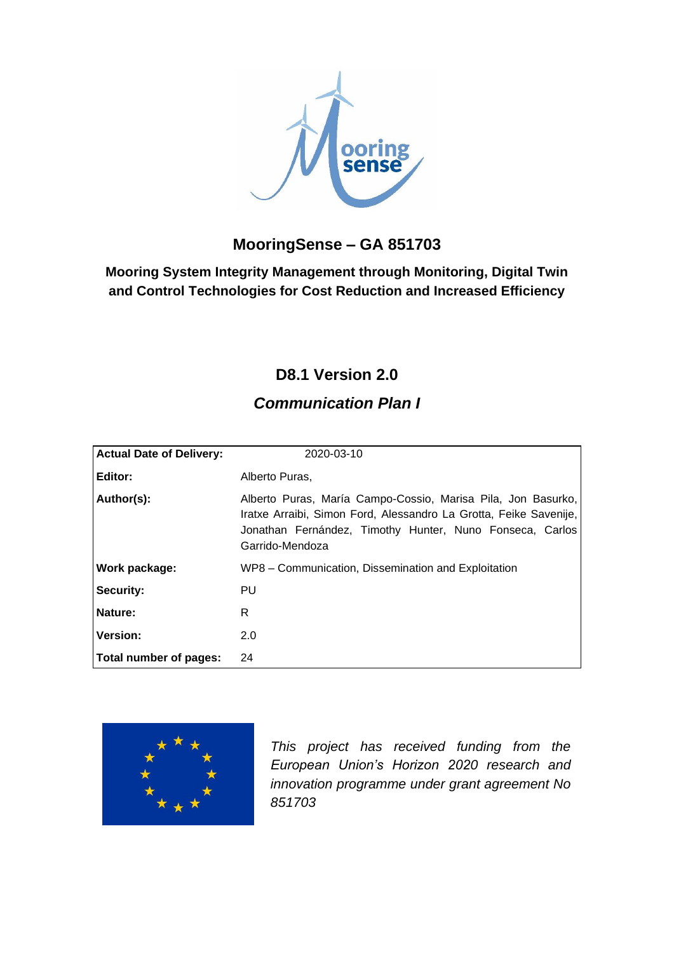

## **MooringSense – GA 851703**

**Mooring System Integrity Management through Monitoring, Digital Twin and Control Technologies for Cost Reduction and Increased Efficiency**

## **D8.1 Version 2.0**

## *Communication Plan I*

| <b>Actual Date of Delivery:</b> | 2020-03-10                                                                                                                                                                                                       |
|---------------------------------|------------------------------------------------------------------------------------------------------------------------------------------------------------------------------------------------------------------|
| Editor:                         | Alberto Puras,                                                                                                                                                                                                   |
| Author(s):                      | Alberto Puras, María Campo-Cossio, Marisa Pila, Jon Basurko,<br>Iratxe Arraibi, Simon Ford, Alessandro La Grotta, Feike Savenije,<br>Jonathan Fernández, Timothy Hunter, Nuno Fonseca, Carlos<br>Garrido-Mendoza |
| Work package:                   | WP8 - Communication, Dissemination and Exploitation                                                                                                                                                              |
| Security:                       | PU                                                                                                                                                                                                               |
| Nature:                         | R                                                                                                                                                                                                                |
| <b>Version:</b>                 | 2.0                                                                                                                                                                                                              |
| Total number of pages:          | 24                                                                                                                                                                                                               |



*This project has received funding from the European Union's Horizon 2020 research and innovation programme under grant agreement No 851703*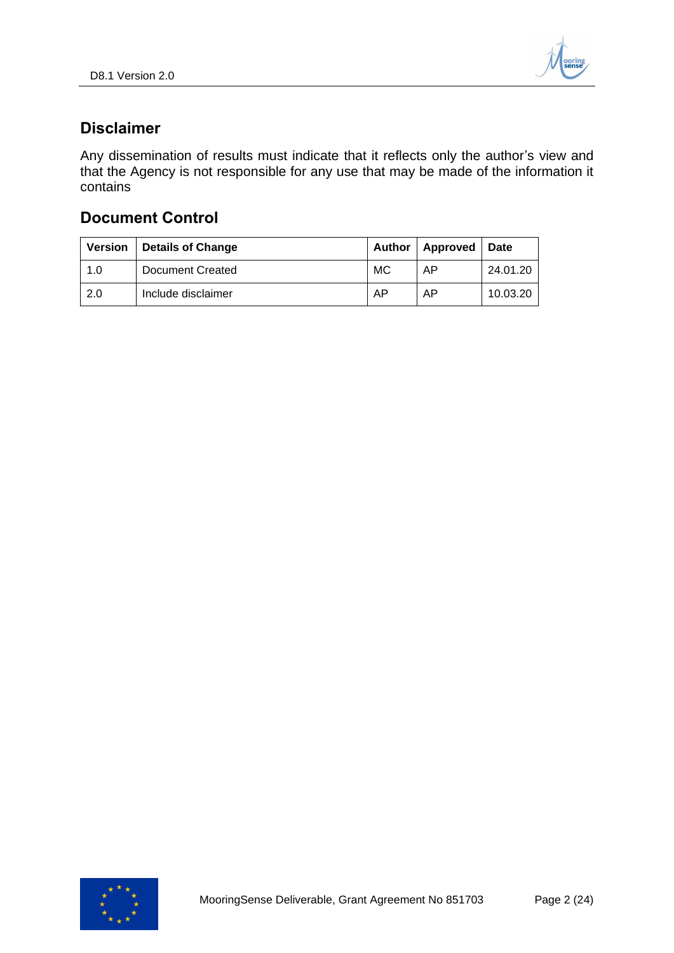

## <span id="page-1-0"></span>**Disclaimer**

Any dissemination of results must indicate that it reflects only the author's view and that the Agency is not responsible for any use that may be made of the information it contains

## **Document Control**

| <b>Version</b> | Details of Change  | Author | Approved   Date |          |
|----------------|--------------------|--------|-----------------|----------|
| 1.0            | Document Created   | MC     | AP              | 24.01.20 |
| 2.0            | Include disclaimer | AP     | AP              | 10.03.20 |

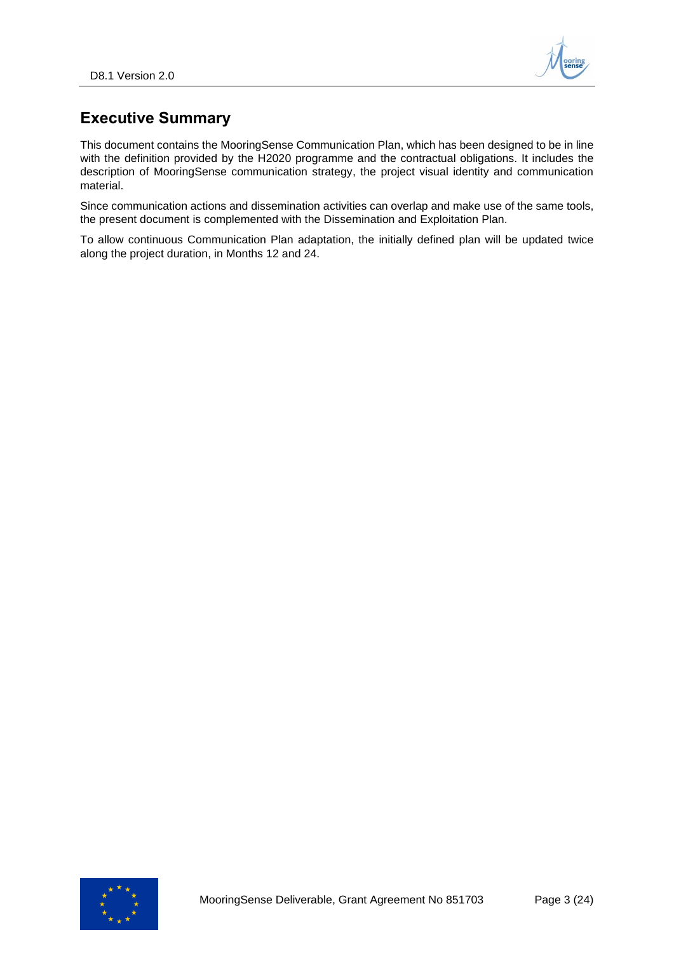

## <span id="page-2-0"></span>**Executive Summary**

This document contains the MooringSense Communication Plan, which has been designed to be in line with the definition provided by the H2020 programme and the contractual obligations. It includes the description of MooringSense communication strategy, the project visual identity and communication material.

Since communication actions and dissemination activities can overlap and make use of the same tools, the present document is complemented with the Dissemination and Exploitation Plan.

To allow continuous Communication Plan adaptation, the initially defined plan will be updated twice along the project duration, in Months 12 and 24.

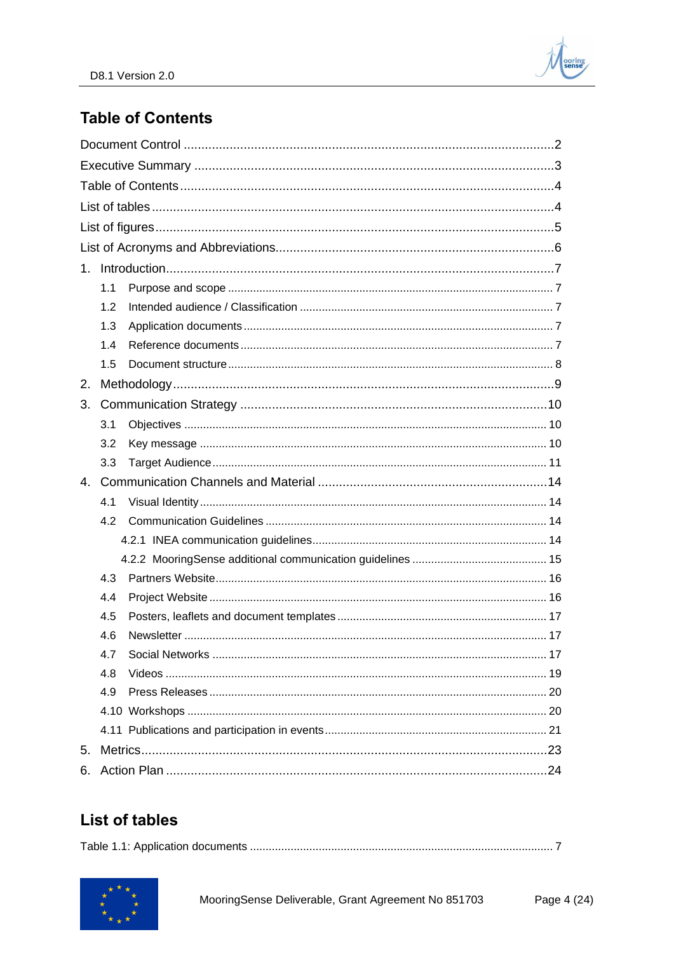

## <span id="page-3-0"></span>**Table of Contents**

| 1. |     |  |  |  |  |
|----|-----|--|--|--|--|
|    | 1.1 |  |  |  |  |
|    | 1.2 |  |  |  |  |
|    | 1.3 |  |  |  |  |
|    | 1.4 |  |  |  |  |
|    | 1.5 |  |  |  |  |
| 2. |     |  |  |  |  |
| 3. |     |  |  |  |  |
|    | 3.1 |  |  |  |  |
|    | 3.2 |  |  |  |  |
|    | 3.3 |  |  |  |  |
| 4. |     |  |  |  |  |
|    | 4.1 |  |  |  |  |
|    | 4.2 |  |  |  |  |
|    |     |  |  |  |  |
|    |     |  |  |  |  |
|    | 4.3 |  |  |  |  |
|    | 4.4 |  |  |  |  |
|    | 4.5 |  |  |  |  |
|    | 4.6 |  |  |  |  |
|    | 4.7 |  |  |  |  |
|    | 4.8 |  |  |  |  |
|    | 4.9 |  |  |  |  |
|    |     |  |  |  |  |
|    |     |  |  |  |  |
| 5. |     |  |  |  |  |
|    |     |  |  |  |  |

# <span id="page-3-1"></span>**List of tables**

|--|--|

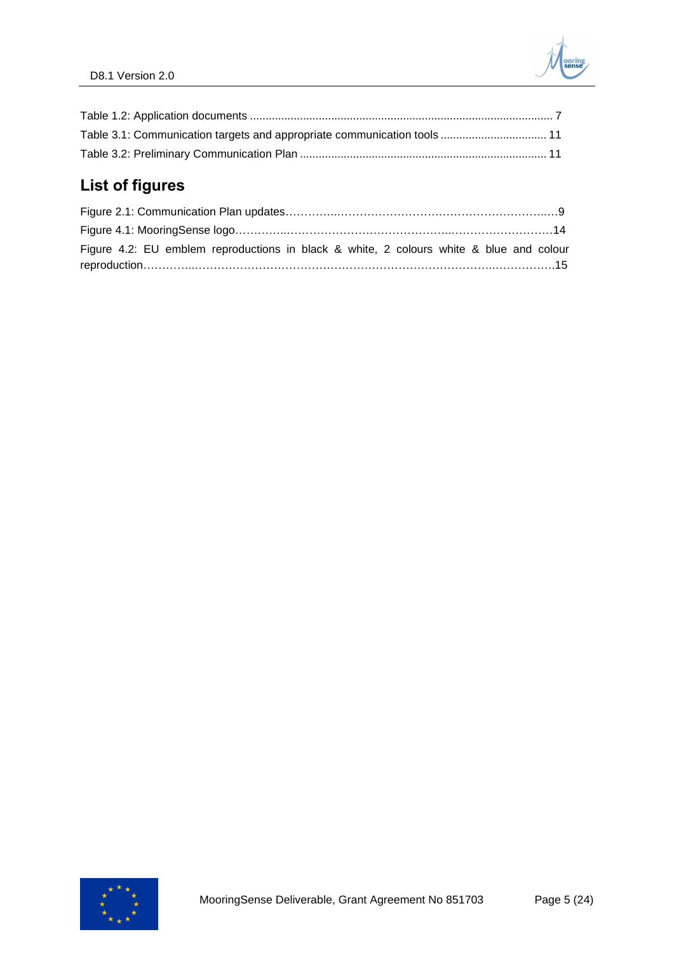| Table 3.1: Communication targets and appropriate communication tools  11 |  |
|--------------------------------------------------------------------------|--|
|                                                                          |  |

# <span id="page-4-0"></span>**List of figures**

| Figure 4.2: EU emblem reproductions in black & white, 2 colours white & blue and colour |  |
|-----------------------------------------------------------------------------------------|--|
|                                                                                         |  |

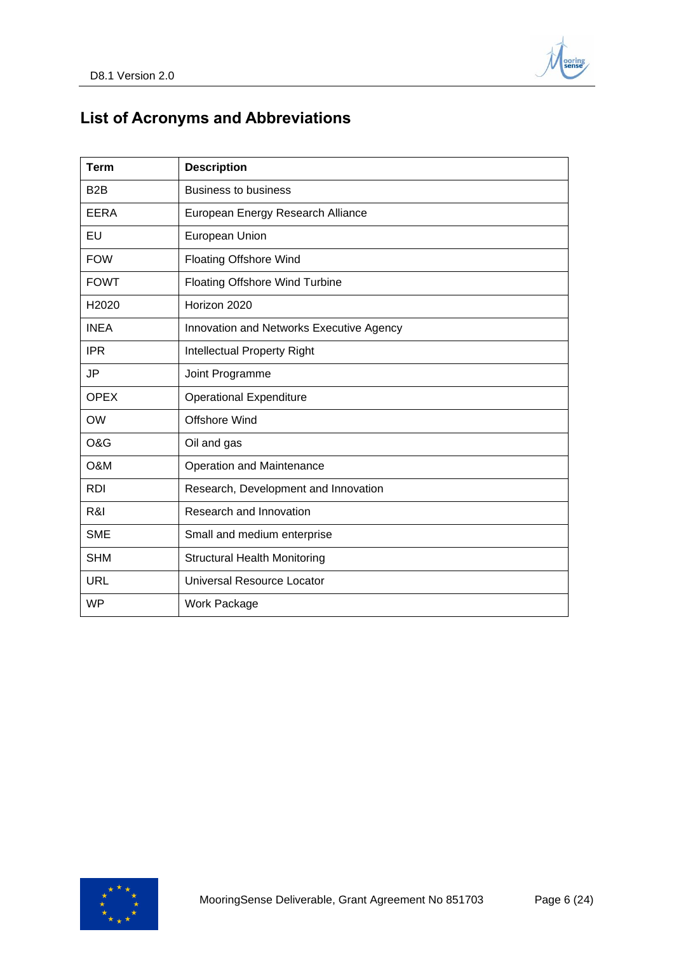

# <span id="page-5-0"></span>**List of Acronyms and Abbreviations**

| <b>Term</b>      | <b>Description</b>                       |
|------------------|------------------------------------------|
| B <sub>2</sub> B | <b>Business to business</b>              |
| EERA             | European Energy Research Alliance        |
| EU               | European Union                           |
| <b>FOW</b>       | <b>Floating Offshore Wind</b>            |
| <b>FOWT</b>      | <b>Floating Offshore Wind Turbine</b>    |
| H2020            | Horizon 2020                             |
| <b>INEA</b>      | Innovation and Networks Executive Agency |
| <b>IPR</b>       | Intellectual Property Right              |
| <b>JP</b>        | Joint Programme                          |
| <b>OPEX</b>      | <b>Operational Expenditure</b>           |
| <b>OW</b>        | <b>Offshore Wind</b>                     |
| O&G              | Oil and gas                              |
| O&M              | Operation and Maintenance                |
| <b>RDI</b>       | Research, Development and Innovation     |
| R&I              | Research and Innovation                  |
| <b>SME</b>       | Small and medium enterprise              |
| <b>SHM</b>       | <b>Structural Health Monitoring</b>      |
| <b>URL</b>       | Universal Resource Locator               |
| <b>WP</b>        | <b>Work Package</b>                      |

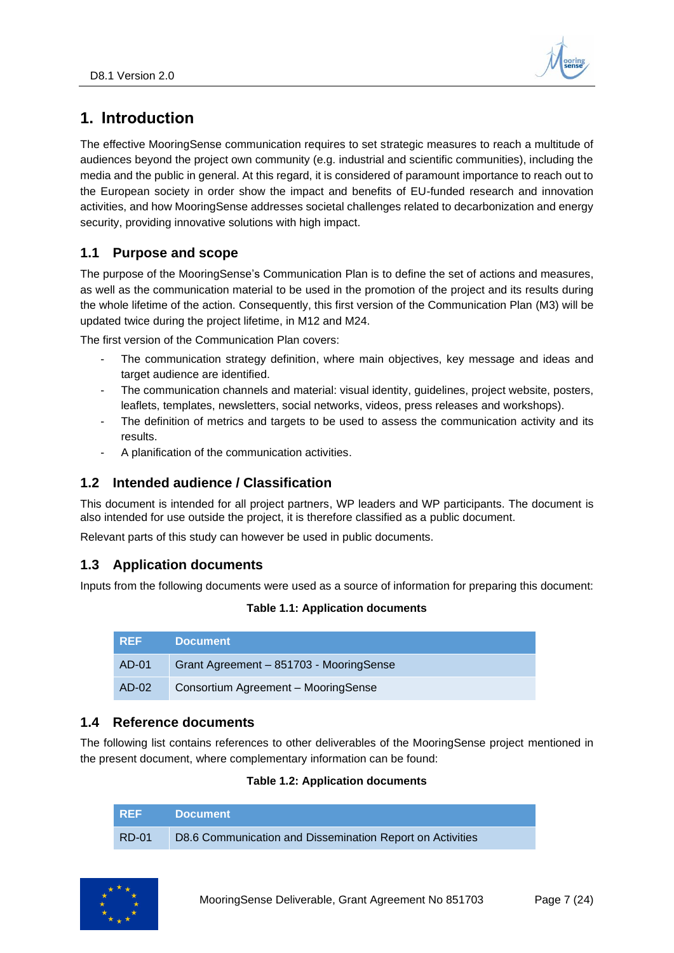

## <span id="page-6-0"></span>**1. Introduction**

The effective MooringSense communication requires to set strategic measures to reach a multitude of audiences beyond the project own community (e.g. industrial and scientific communities), including the media and the public in general. At this regard, it is considered of paramount importance to reach out to the European society in order show the impact and benefits of EU-funded research and innovation activities, and how MooringSense addresses societal challenges related to decarbonization and energy security, providing innovative solutions with high impact.

## <span id="page-6-1"></span>**1.1 Purpose and scope**

The purpose of the MooringSense's Communication Plan is to define the set of actions and measures, as well as the communication material to be used in the promotion of the project and its results during the whole lifetime of the action. Consequently, this first version of the Communication Plan (M3) will be updated twice during the project lifetime, in M12 and M24.

The first version of the Communication Plan covers:

- The communication strategy definition, where main objectives, key message and ideas and target audience are identified.
- The communication channels and material: visual identity, guidelines, project website, posters, leaflets, templates, newsletters, social networks, videos, press releases and workshops).
- The definition of metrics and targets to be used to assess the communication activity and its results.
- A planification of the communication activities.

### <span id="page-6-2"></span>**1.2 Intended audience / Classification**

This document is intended for all project partners, WP leaders and WP participants. The document is also intended for use outside the project, it is therefore classified as a public document.

Relevant parts of this study can however be used in public documents.

### <span id="page-6-3"></span>**1.3 Application documents**

<span id="page-6-5"></span>Inputs from the following documents were used as a source of information for preparing this document:

#### **Table 1.1: Application documents**

| <b>REF</b> | <b>Document</b>                         |
|------------|-----------------------------------------|
| AD-01      | Grant Agreement - 851703 - MooringSense |
| AD-02      | Consortium Agreement - MooringSense     |

### <span id="page-6-4"></span>**1.4 Reference documents**

<span id="page-6-6"></span>The following list contains references to other deliverables of the MooringSense project mentioned in the present document, where complementary information can be found:

#### **Table 1.2: Application documents**

| I REF        | <b>Document</b>                                           |
|--------------|-----------------------------------------------------------|
| <b>RD-01</b> | D8.6 Communication and Dissemination Report on Activities |

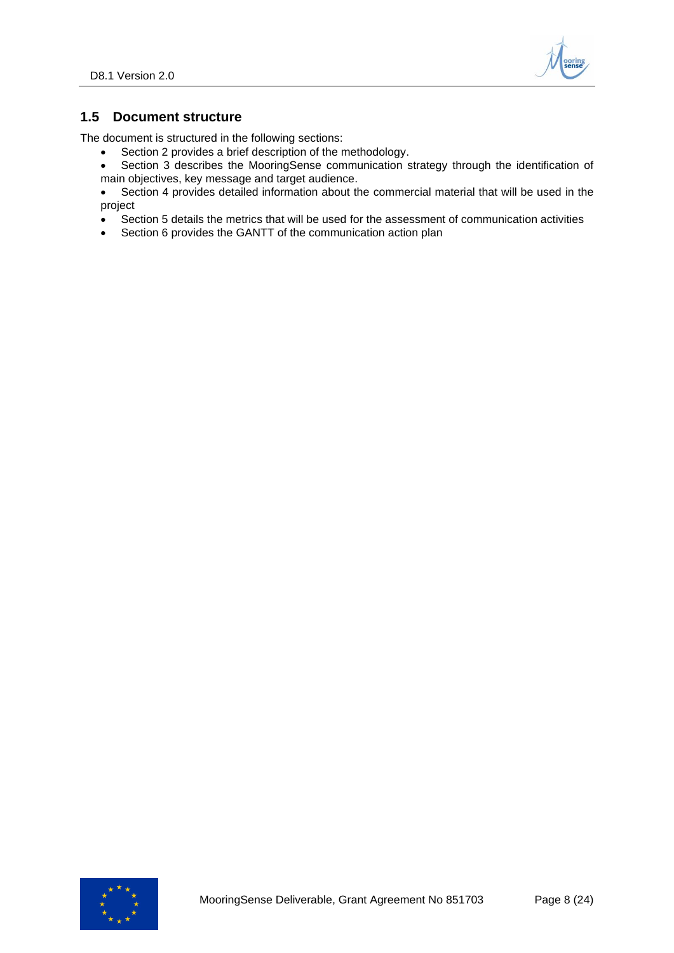

## <span id="page-7-0"></span>**1.5 Document structure**

The document is structured in the following sections:

- Section 2 provides a brief description of the methodology.
- Section 3 describes the MooringSense communication strategy through the identification of main objectives, key message and target audience.
- Section 4 provides detailed information about the commercial material that will be used in the project
- Section 5 details the metrics that will be used for the assessment of communication activities
- Section 6 provides the GANTT of the communication action plan

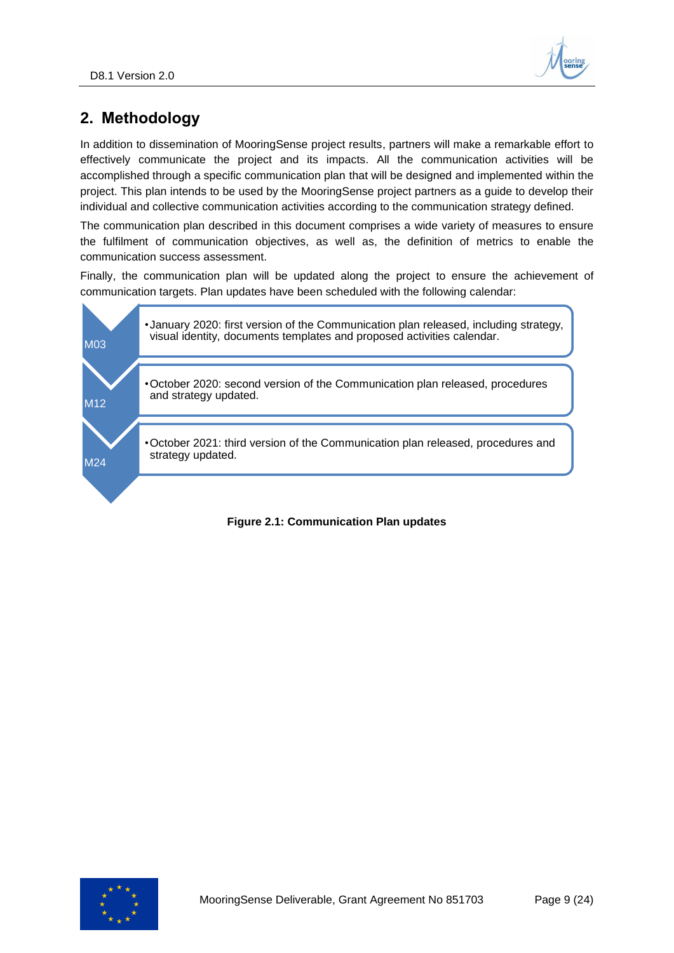

## <span id="page-8-0"></span>**2. Methodology**

In addition to dissemination of MooringSense project results, partners will make a remarkable effort to effectively communicate the project and its impacts. All the communication activities will be accomplished through a specific communication plan that will be designed and implemented within the project. This plan intends to be used by the MooringSense project partners as a guide to develop their individual and collective communication activities according to the communication strategy defined.

The communication plan described in this document comprises a wide variety of measures to ensure the fulfilment of communication objectives, as well as, the definition of metrics to enable the communication success assessment.

Finally, the communication plan will be updated along the project to ensure the achievement of communication targets. Plan updates have been scheduled with the following calendar:



#### <span id="page-8-1"></span>**Figure 2.1: Communication Plan updates**

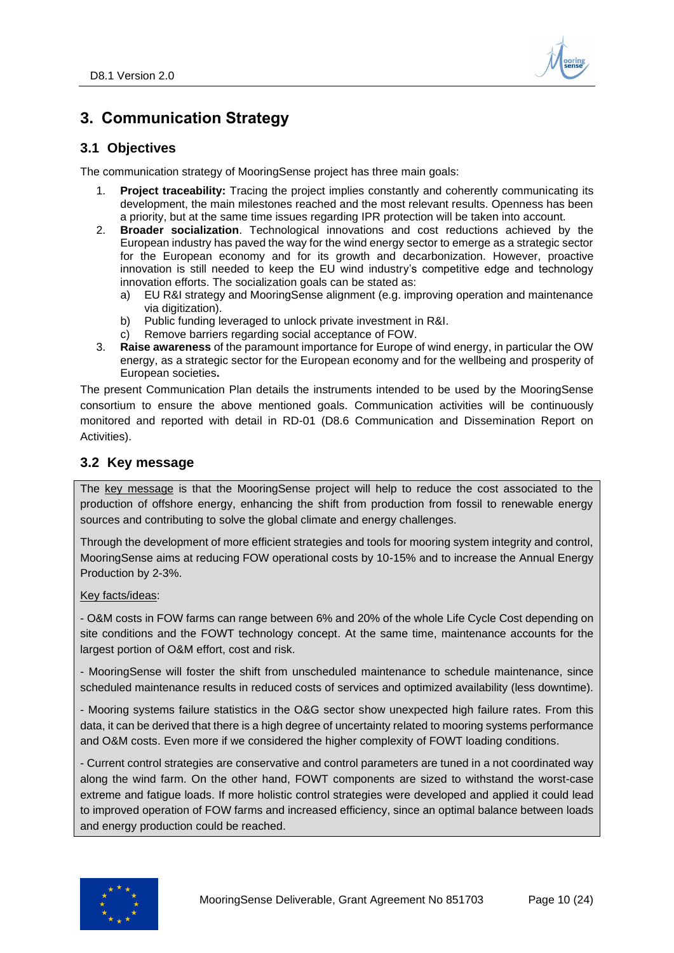

## <span id="page-9-0"></span>**3. Communication Strategy**

### <span id="page-9-1"></span>**3.1 Objectives**

The communication strategy of MooringSense project has three main goals:

- 1. **Project traceability:** Tracing the project implies constantly and coherently communicating its development, the main milestones reached and the most relevant results. Openness has been a priority, but at the same time issues regarding IPR protection will be taken into account.
- 2. **Broader socialization**. Technological innovations and cost reductions achieved by the European industry has paved the way for the wind energy sector to emerge as a strategic sector for the European economy and for its growth and decarbonization. However, proactive innovation is still needed to keep the EU wind industry's competitive edge and technology innovation efforts. The socialization goals can be stated as:
	- a) EU R&I strategy and MooringSense alignment (e.g. improving operation and maintenance via digitization).
	- b) Public funding leveraged to unlock private investment in R&I.
	- c) Remove barriers regarding social acceptance of FOW.
- 3. **Raise awareness** of the paramount importance for Europe of wind energy, in particular the OW energy, as a strategic sector for the European economy and for the wellbeing and prosperity of European societies**.**

The present Communication Plan details the instruments intended to be used by the MooringSense consortium to ensure the above mentioned goals. Communication activities will be continuously monitored and reported with detail in RD-01 (D8.6 Communication and Dissemination Report on Activities).

## <span id="page-9-2"></span>**3.2 Key message**

The key message is that the MooringSense project will help to reduce the cost associated to the production of offshore energy, enhancing the shift from production from fossil to renewable energy sources and contributing to solve the global climate and energy challenges.

Through the development of more efficient strategies and tools for mooring system integrity and control, MooringSense aims at reducing FOW operational costs by 10-15% and to increase the Annual Energy Production by 2-3%.

#### Key facts/ideas:

- O&M costs in FOW farms can range between 6% and 20% of the whole Life Cycle Cost depending on site conditions and the FOWT technology concept. At the same time, maintenance accounts for the largest portion of O&M effort, cost and risk.

- MooringSense will foster the shift from unscheduled maintenance to schedule maintenance, since scheduled maintenance results in reduced costs of services and optimized availability (less downtime).

- Mooring systems failure statistics in the O&G sector show unexpected high failure rates. From this data, it can be derived that there is a high degree of uncertainty related to mooring systems performance and O&M costs. Even more if we considered the higher complexity of FOWT loading conditions.

- Current control strategies are conservative and control parameters are tuned in a not coordinated way along the wind farm. On the other hand, FOWT components are sized to withstand the worst-case extreme and fatigue loads. If more holistic control strategies were developed and applied it could lead to improved operation of FOW farms and increased efficiency, since an optimal balance between loads and energy production could be reached.

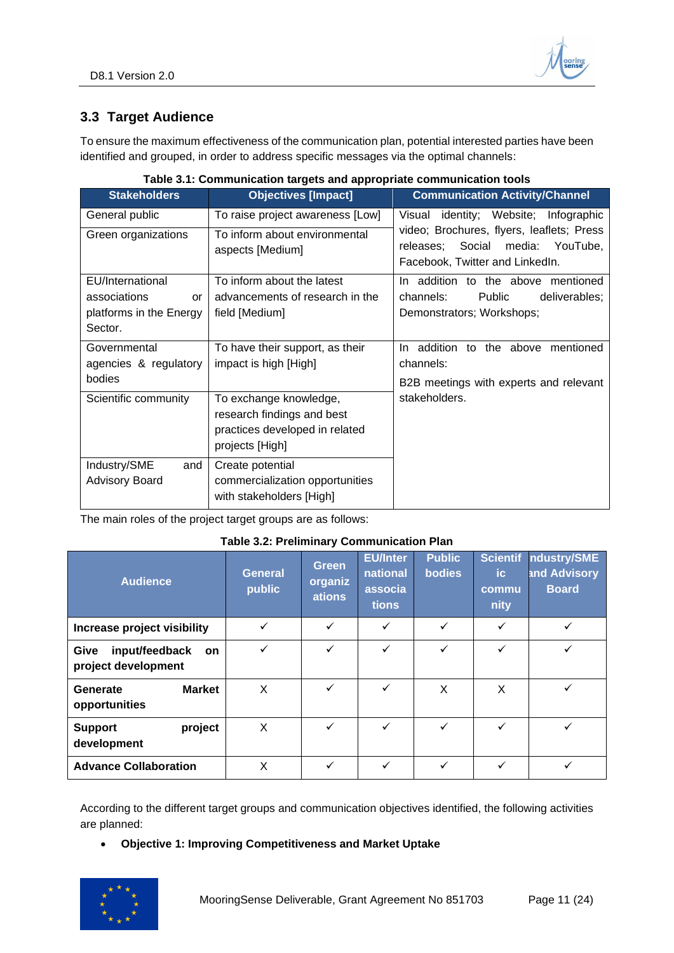## <span id="page-10-0"></span>**3.3 Target Audience**

To ensure the maximum effectiveness of the communication plan, potential interested parties have been identified and grouped, in order to address specific messages via the optimal channels:

<span id="page-10-1"></span>

| <b>Stakeholders</b>     | <b>Objectives [Impact]</b>       | <b>Communication Activity/Channel</b>                                               |
|-------------------------|----------------------------------|-------------------------------------------------------------------------------------|
| General public          | To raise project awareness [Low] | Visual identity; Website; Infographic                                               |
| Green organizations     | To inform about environmental    | video; Brochures, flyers, leaflets; Press<br>Social<br>media: YouTube,<br>releases: |
|                         | aspects [Medium]                 | Facebook, Twitter and LinkedIn.                                                     |
| EU/International        | To inform about the latest       | addition to the above mentioned<br>In.                                              |
| associations<br>or      | advancements of research in the  | Public<br>channels:<br>deliverables;                                                |
| platforms in the Energy | field [Medium]                   | Demonstrators; Workshops;                                                           |
| Sector.                 |                                  |                                                                                     |
| Governmental            | To have their support, as their  | In addition to the above mentioned                                                  |
| agencies & regulatory   | impact is high [High]            | channels:                                                                           |
| bodies                  |                                  | B2B meetings with experts and relevant                                              |
| Scientific community    | To exchange knowledge,           | stakeholders.                                                                       |
|                         | research findings and best       |                                                                                     |
|                         | practices developed in related   |                                                                                     |
|                         | projects [High]                  |                                                                                     |
| Industry/SME<br>and     | Create potential                 |                                                                                     |
| <b>Advisory Board</b>   | commercialization opportunities  |                                                                                     |
|                         | with stakeholders [High]         |                                                                                     |

#### **Table 3.1: Communication targets and appropriate communication tools**

<span id="page-10-2"></span>The main roles of the project target groups are as follows:

#### **Table 3.2: Preliminary Communication Plan**

| <b>Audience</b>                                     | <b>General</b><br>public | <b>Green</b><br>organiz<br>ations | <b>EU/Inter</b><br>national<br>associa<br>tions | <b>Public</b><br><b>bodies</b> | <b>Scientif</b><br>ic.<br>commu<br>nity | ndustry/SME<br>and Advisory<br><b>Board</b> |
|-----------------------------------------------------|--------------------------|-----------------------------------|-------------------------------------------------|--------------------------------|-----------------------------------------|---------------------------------------------|
| Increase project visibility                         | ✓                        | $\checkmark$                      | ✓                                               | ✓                              | ✓                                       | ✓                                           |
| input/feedback<br>Give<br>on<br>project development | ✓                        | $\checkmark$                      | $\checkmark$                                    | ✓                              | $\checkmark$                            | ✓                                           |
| <b>Market</b><br>Generate<br>opportunities          | X                        | $\checkmark$                      | $\checkmark$                                    | X                              | X                                       |                                             |
| project<br><b>Support</b><br>development            | X                        | $\checkmark$                      | $\checkmark$                                    | ✓                              | $\checkmark$                            | ✓                                           |
| <b>Advance Collaboration</b>                        | Χ                        | $\checkmark$                      | $\checkmark$                                    | ✓                              | ✓                                       | ✓                                           |

According to the different target groups and communication objectives identified, the following activities are planned:

#### • **Objective 1: Improving Competitiveness and Market Uptake**

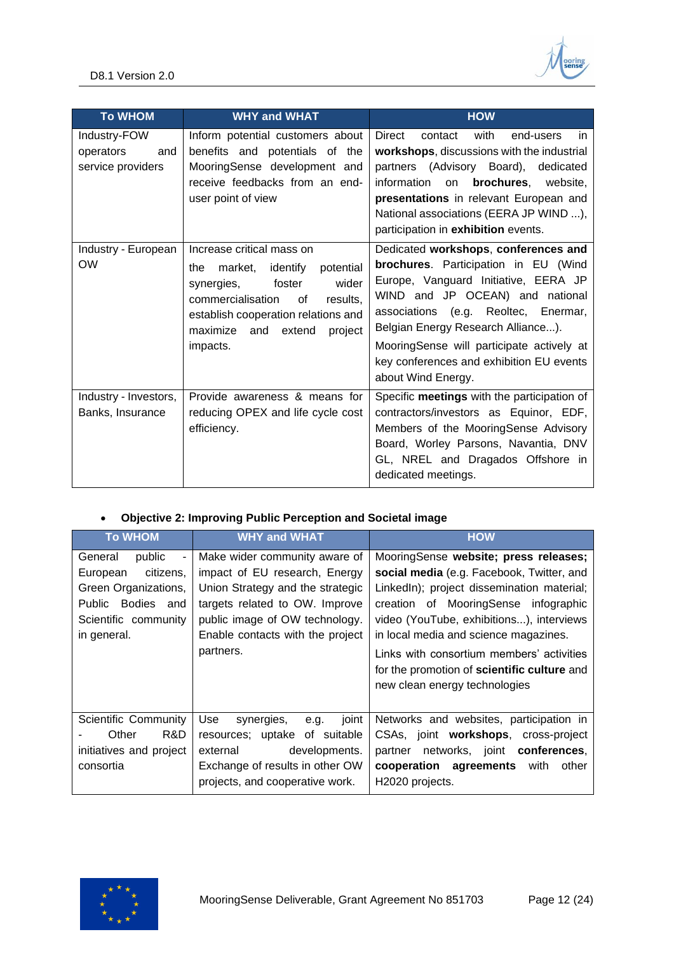

| <b>To WHOM</b>                                        | <b>WHY and WHAT</b>                                                                                                                                                                                                                     | <b>HOW</b>                                                                                                                                                                                                                                                                                                                                           |  |  |
|-------------------------------------------------------|-----------------------------------------------------------------------------------------------------------------------------------------------------------------------------------------------------------------------------------------|------------------------------------------------------------------------------------------------------------------------------------------------------------------------------------------------------------------------------------------------------------------------------------------------------------------------------------------------------|--|--|
| Industry-FOW<br>operators<br>and<br>service providers | Inform potential customers about<br>benefits and potentials of the<br>MooringSense development and<br>receive feedbacks from an end-<br>user point of view                                                                              | with<br>Direct<br>contact<br>end-users<br>in.<br>workshops, discussions with the industrial<br>partners (Advisory Board),<br>dedicated<br>information<br>brochures.<br>website.<br>on<br>presentations in relevant European and<br>National associations (EERA JP WIND ),<br>participation in exhibition events.                                     |  |  |
| Industry - European<br><b>OW</b>                      | Increase critical mass on<br>potential<br>identify<br>the<br>market,<br>foster<br>wider<br>synergies,<br>commercialisation<br>results,<br>0f<br>establish cooperation relations and<br>maximize<br>extend<br>and<br>project<br>impacts. | Dedicated workshops, conferences and<br>brochures. Participation in EU (Wind<br>Europe, Vanguard Initiative, EERA JP<br>WIND and JP OCEAN) and national<br>associations (e.g. Reoltec, Enermar,<br>Belgian Energy Research Alliance).<br>MooringSense will participate actively at<br>key conferences and exhibition EU events<br>about Wind Energy. |  |  |
| Industry - Investors,<br>Banks, Insurance             | Provide awareness & means for<br>reducing OPEX and life cycle cost<br>efficiency.                                                                                                                                                       | Specific meetings with the participation of<br>contractors/investors as Equinor, EDF,<br>Members of the MooringSense Advisory<br>Board, Worley Parsons, Navantia, DNV<br>GL, NREL and Dragados Offshore in<br>dedicated meetings.                                                                                                                    |  |  |

## • **Objective 2: Improving Public Perception and Societal image**

| <b>To WHOM</b>                                                                                                                                     | <b>WHY and WHAT</b>                                                                                                                                                                                                     | <b>HOW</b>                                                                                                                                                                                                                                                                                                                                                                                 |
|----------------------------------------------------------------------------------------------------------------------------------------------------|-------------------------------------------------------------------------------------------------------------------------------------------------------------------------------------------------------------------------|--------------------------------------------------------------------------------------------------------------------------------------------------------------------------------------------------------------------------------------------------------------------------------------------------------------------------------------------------------------------------------------------|
| public<br>General<br>$\frac{1}{2}$<br>citizens,<br>European<br>Green Organizations,<br>Public Bodies<br>and<br>Scientific community<br>in general. | Make wider community aware of<br>impact of EU research, Energy<br>Union Strategy and the strategic<br>targets related to OW. Improve<br>public image of OW technology.<br>Enable contacts with the project<br>partners. | MooringSense website; press releases;<br>social media (e.g. Facebook, Twitter, and<br>LinkedIn); project dissemination material;<br>creation of MooringSense infographic<br>video (YouTube, exhibitions), interviews<br>in local media and science magazines.<br>Links with consortium members' activities<br>for the promotion of scientific culture and<br>new clean energy technologies |
| <b>Scientific Community</b><br>R&D.<br>Other<br>initiatives and project<br>consortia                                                               | Use<br>joint<br>synergies,<br>e.g.<br>resources; uptake of suitable<br>developments.<br>external<br>Exchange of results in other OW<br>projects, and cooperative work.                                                  | Networks and websites, participation in<br>CSAs, joint workshops, cross-project<br>networks, joint <b>conferences</b> ,<br>partner<br>cooperation agreements<br>with<br>other<br>H2020 projects.                                                                                                                                                                                           |

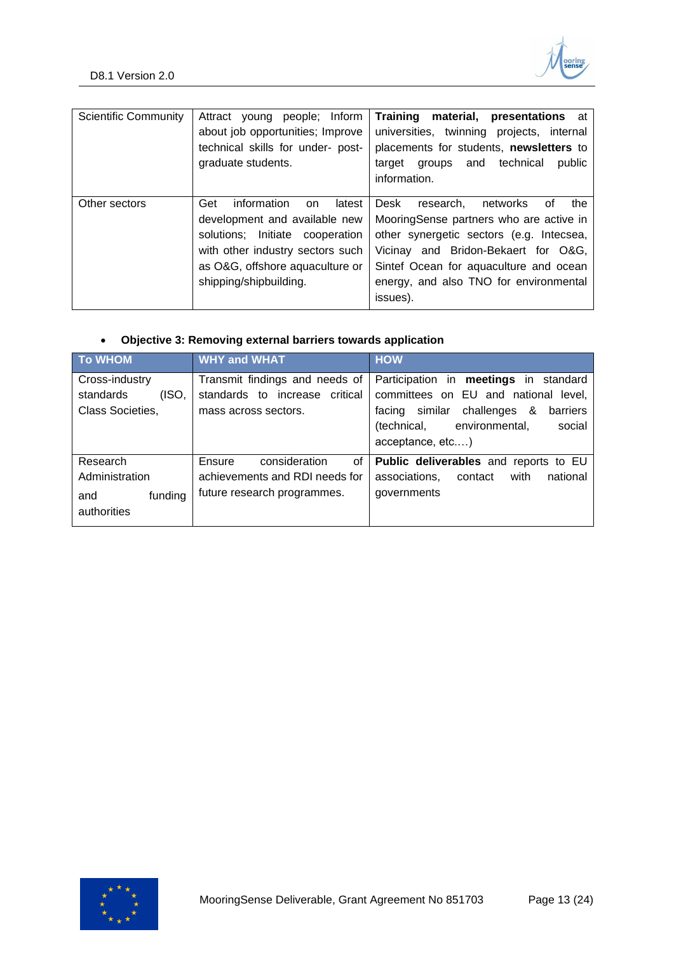

| <b>Scientific Community</b> | people; Inform<br>Attract<br>voung<br>about job opportunities; Improve<br>technical skills for under- post-<br>graduate students.                                                                       | Training material,<br><b>presentations</b> at<br>universities, twinning projects, internal<br>placements for students, newsletters to<br>technical<br>and<br>public<br>target<br>groups<br>information.                                                                  |
|-----------------------------|---------------------------------------------------------------------------------------------------------------------------------------------------------------------------------------------------------|--------------------------------------------------------------------------------------------------------------------------------------------------------------------------------------------------------------------------------------------------------------------------|
| Other sectors               | information<br>Get<br>latest<br>on<br>development and available new<br>solutions; Initiate cooperation<br>with other industry sectors such<br>as O&G, offshore aquaculture or<br>shipping/shipbuilding. | Desk<br>research.<br>networks<br>the<br>οf<br>MooringSense partners who are active in<br>other synergetic sectors (e.g. Intecsea,<br>Vicinay and Bridon-Bekaert for O&G,<br>Sintef Ocean for aquaculture and ocean<br>energy, and also TNO for environmental<br>issues). |

## • **Objective 3: Removing external barriers towards application**

| <b>To WHOM</b>     | <b>WHY and WHAT</b>               | <b>HOW</b>                                   |
|--------------------|-----------------------------------|----------------------------------------------|
| Cross-industry     | Transmit findings and needs of    | Participation in <b>meetings</b> in standard |
| (ISO,<br>standards | standards to increase<br>critical | committees on EU and national level,         |
| Class Societies,   | mass across sectors.              | similar challenges &<br>barriers<br>facing   |
|                    |                                   | (technical, environmental,<br>social         |
|                    |                                   | acceptance, etc)                             |
| Research           | consideration<br>οf<br>Ensure     | Public deliverables and reports to EU        |
| Administration     | achievements and RDI needs for    | associations,<br>with<br>national<br>contact |
| funding<br>and     | future research programmes.       | governments                                  |
| authorities        |                                   |                                              |

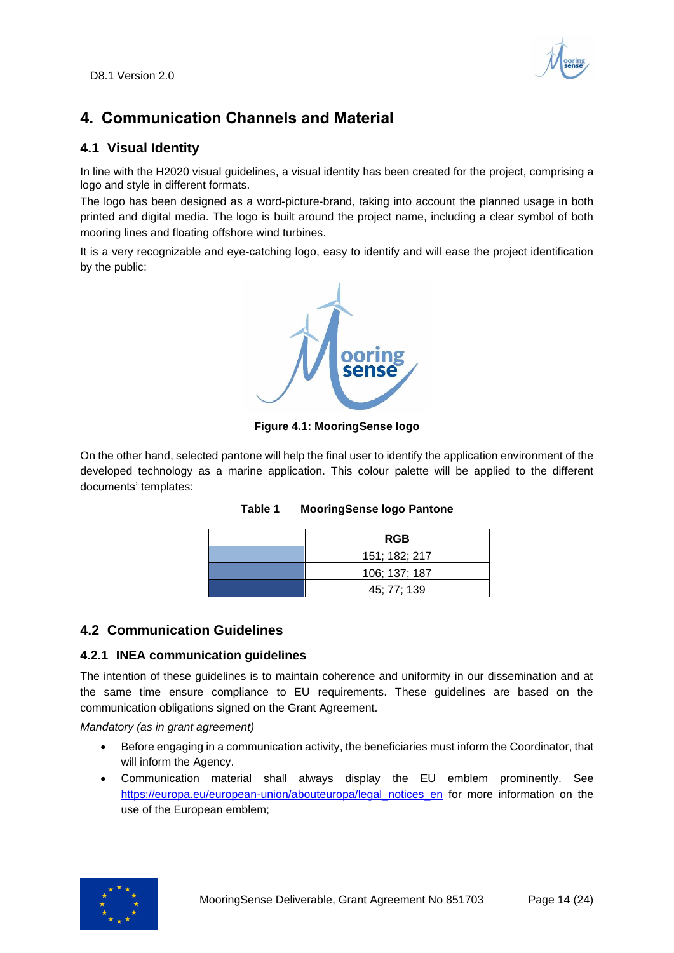

## <span id="page-13-0"></span>**4. Communication Channels and Material**

## <span id="page-13-1"></span>**4.1 Visual Identity**

In line with the H2020 visual guidelines, a visual identity has been created for the project, comprising a logo and style in different formats.

The logo has been designed as a word-picture-brand, taking into account the planned usage in both printed and digital media. The logo is built around the project name, including a clear symbol of both mooring lines and floating offshore wind turbines.

It is a very recognizable and eye-catching logo, easy to identify and will ease the project identification by the public:



**Figure 4.1: MooringSense logo**

<span id="page-13-4"></span>On the other hand, selected pantone will help the final user to identify the application environment of the developed technology as a marine application. This colour palette will be applied to the different documents' templates:

| <b>RGB</b>    |  |
|---------------|--|
| 151; 182; 217 |  |
| 106; 137; 187 |  |
| 45; 77; 139   |  |

#### **Table 1 MooringSense logo Pantone**

#### <span id="page-13-2"></span>**4.2 Communication Guidelines**

#### <span id="page-13-3"></span>**4.2.1 INEA communication guidelines**

The intention of these guidelines is to maintain coherence and uniformity in our dissemination and at the same time ensure compliance to EU requirements. These guidelines are based on the communication obligations signed on the Grant Agreement.

*Mandatory (as in grant agreement)*

- Before engaging in a communication activity, the beneficiaries must inform the Coordinator, that will inform the Agency.
- Communication material shall always display the EU emblem prominently. See [https://europa.eu/european-union/abouteuropa/legal\\_notices\\_en](https://europa.eu/european-union/abouteuropa/legal_notices_en) for more information on the use of the European emblem;

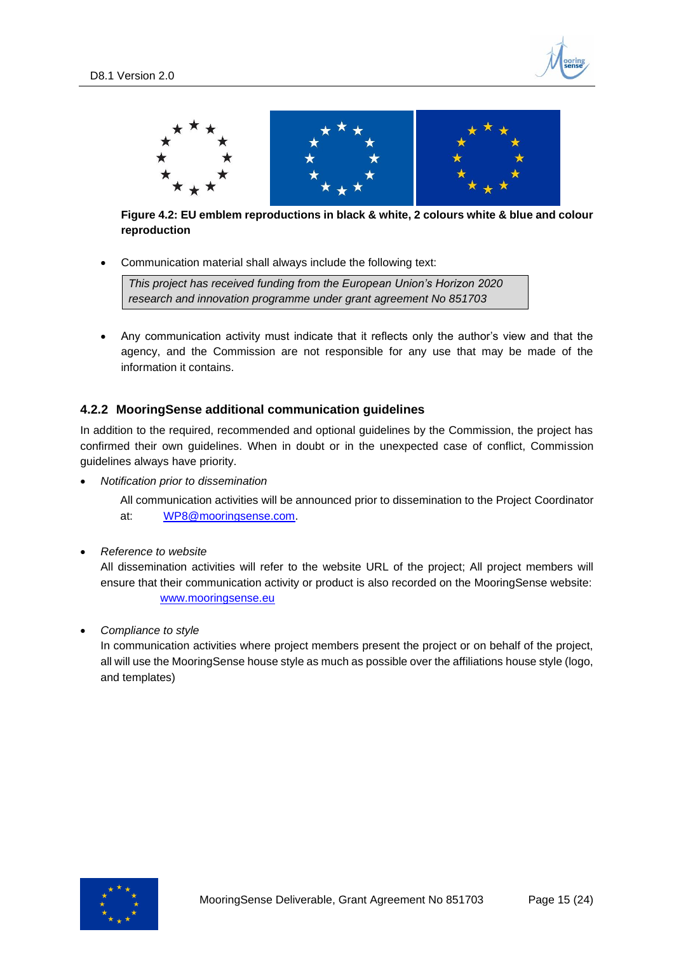



#### <span id="page-14-1"></span>**Figure 4.2: EU emblem reproductions in black & white, 2 colours white & blue and colour reproduction**

• Communication material shall always include the following text:

*This project has received funding from the European Union's Horizon 2020 research and innovation programme under grant agreement No 851703*

• Any communication activity must indicate that it reflects only the author's view and that the agency, and the Commission are not responsible for any use that may be made of the information it contains.

#### <span id="page-14-0"></span>**4.2.2 MooringSense additional communication guidelines**

In addition to the required, recommended and optional guidelines by the Commission, the project has confirmed their own guidelines. When in doubt or in the unexpected case of conflict, Commission guidelines always have priority.

• *Notification prior to dissemination*

All communication activities will be announced prior to dissemination to the Project Coordinator at: [WP8@mooringsense.com.](mailto:WP8@mooringsense.com)

• *Reference to website*

All dissemination activities will refer to the website URL of the project; All project members will ensure that their communication activity or product is also recorded on the MooringSense website: [www.mooringsense.eu](http://www.mooringsense.eu/)

• *Compliance to style*

In communication activities where project members present the project or on behalf of the project, all will use the MooringSense house style as much as possible over the affiliations house style (logo, and templates)

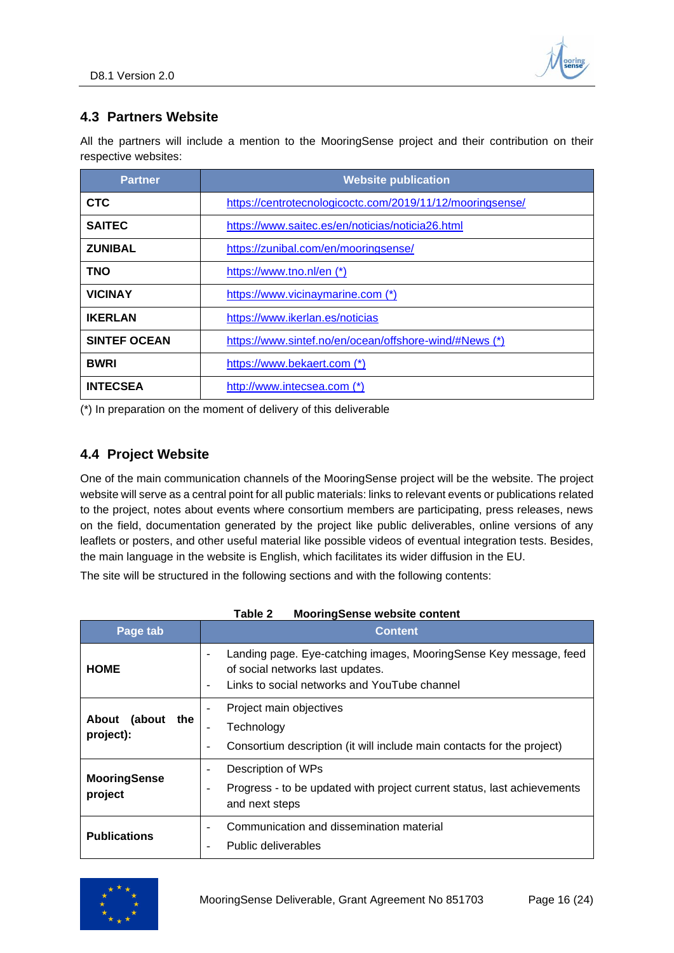

## <span id="page-15-0"></span>**4.3 Partners Website**

All the partners will include a mention to the MooringSense project and their contribution on their respective websites:

| <b>Partner</b>      | <b>Website publication</b>                                |
|---------------------|-----------------------------------------------------------|
| <b>CTC</b>          | https://centrotecnologicoctc.com/2019/11/12/mooringsense/ |
| <b>SAITEC</b>       | https://www.saitec.es/en/noticias/noticia26.html          |
| <b>ZUNIBAL</b>      | https://zunibal.com/en/mooringsense/                      |
| <b>TNO</b>          | https://www.tno.nl/en (*)                                 |
| <b>VICINAY</b>      | https://www.vicinaymarine.com (*)                         |
| <b>IKERLAN</b>      | https://www.ikerlan.es/noticias                           |
| <b>SINTEF OCEAN</b> | https://www.sintef.no/en/ocean/offshore-wind/#News (*)    |
| <b>BWRI</b>         | https://www.bekaert.com (*)                               |
| <b>INTECSEA</b>     | http://www.intecsea.com (*)                               |

(\*) In preparation on the moment of delivery of this deliverable

### <span id="page-15-1"></span>**4.4 Project Website**

One of the main communication channels of the MooringSense project will be the website. The project website will serve as a central point for all public materials: links to relevant events or publications related to the project, notes about events where consortium members are participating, press releases, news on the field, documentation generated by the project like public deliverables, online versions of any leaflets or posters, and other useful material like possible videos of eventual integration tests. Besides, the main language in the website is English, which facilitates its wider diffusion in the EU.

The site will be structured in the following sections and with the following contents:

|                                  | woonngoonoo woodoo oomoni                                                                                                                                  |
|----------------------------------|------------------------------------------------------------------------------------------------------------------------------------------------------------|
| Page tab                         | <b>Content</b>                                                                                                                                             |
| <b>HOME</b>                      | Landing page. Eye-catching images, MooringSense Key message, feed<br>of social networks last updates.<br>Links to social networks and YouTube channel<br>٠ |
| About<br>(about the<br>project): | Project main objectives<br>Technology<br>Consortium description (it will include main contacts for the project)<br>$\overline{\phantom{a}}$                |
| <b>MooringSense</b><br>project   | Description of WPs<br>$\qquad \qquad -$<br>Progress - to be updated with project current status, last achievements<br>۰<br>and next steps                  |
| <b>Publications</b>              | Communication and dissemination material<br>$\qquad \qquad -$<br>Public deliverables                                                                       |

| Table 2 | <b>MooringSense website content</b> |  |
|---------|-------------------------------------|--|
|         |                                     |  |

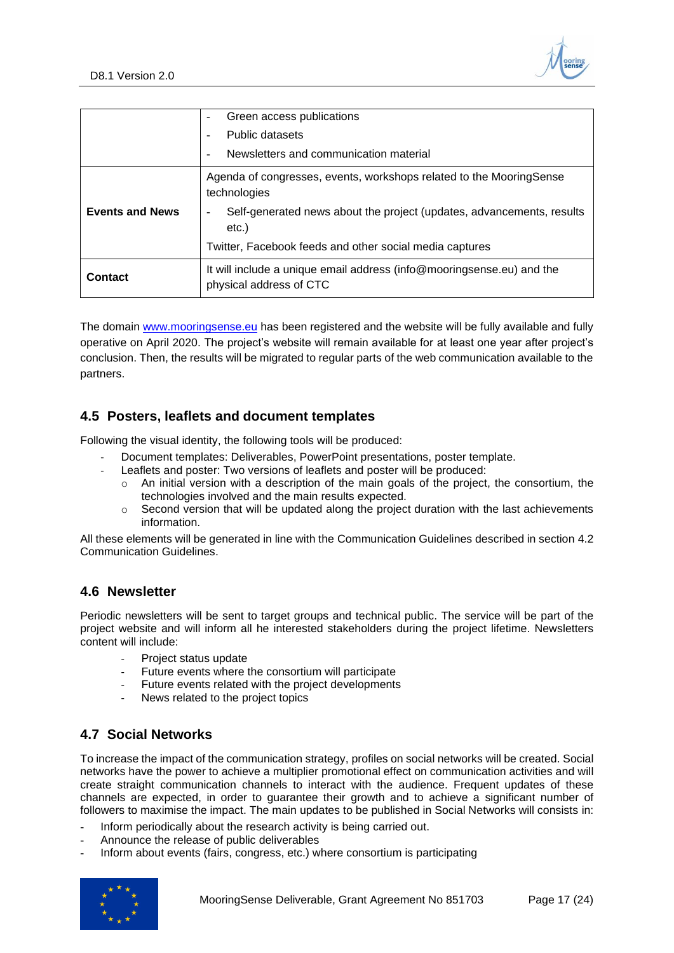

|                        | Green access publications<br>$\overline{\phantom{a}}$                                            |
|------------------------|--------------------------------------------------------------------------------------------------|
|                        | Public datasets                                                                                  |
|                        | Newsletters and communication material<br>$\overline{\phantom{a}}$                               |
|                        | Agenda of congresses, events, workshops related to the MooringSense<br>technologies              |
| <b>Events and News</b> | Self-generated news about the project (updates, advancements, results<br>etc.)                   |
|                        | Twitter, Facebook feeds and other social media captures                                          |
| Contact                | It will include a unique email address (info@mooringsense.eu) and the<br>physical address of CTC |

The domain [www.mooringsense.eu](http://www.mooringsense.eu/) has been registered and the website will be fully available and fully operative on April 2020. The project's website will remain available for at least one year after project's conclusion. Then, the results will be migrated to regular parts of the web communication available to the partners.

### <span id="page-16-0"></span>**4.5 Posters, leaflets and document templates**

Following the visual identity, the following tools will be produced:

- Document templates: Deliverables, PowerPoint presentations, poster template.
- Leaflets and poster: Two versions of leaflets and poster will be produced:
	- $\circ$  An initial version with a description of the main goals of the project, the consortium, the technologies involved and the main results expected.
	- $\circ$  Second version that will be updated along the project duration with the last achievements information.

All these elements will be generated in line with the Communication Guidelines described in section [4.2](#page-13-2) [Communication Guidelines.](#page-13-2)

#### <span id="page-16-1"></span>**4.6 Newsletter**

Periodic newsletters will be sent to target groups and technical public. The service will be part of the project website and will inform all he interested stakeholders during the project lifetime. Newsletters content will include:

- Project status update
- Future events where the consortium will participate
- Future events related with the project developments
- News related to the project topics

### <span id="page-16-2"></span>**4.7 Social Networks**

To increase the impact of the communication strategy, profiles on social networks will be created. Social networks have the power to achieve a multiplier promotional effect on communication activities and will create straight communication channels to interact with the audience. Frequent updates of these channels are expected, in order to guarantee their growth and to achieve a significant number of followers to maximise the impact. The main updates to be published in Social Networks will consists in:

- Inform periodically about the research activity is being carried out.
- Announce the release of public deliverables
- Inform about events (fairs, congress, etc.) where consortium is participating

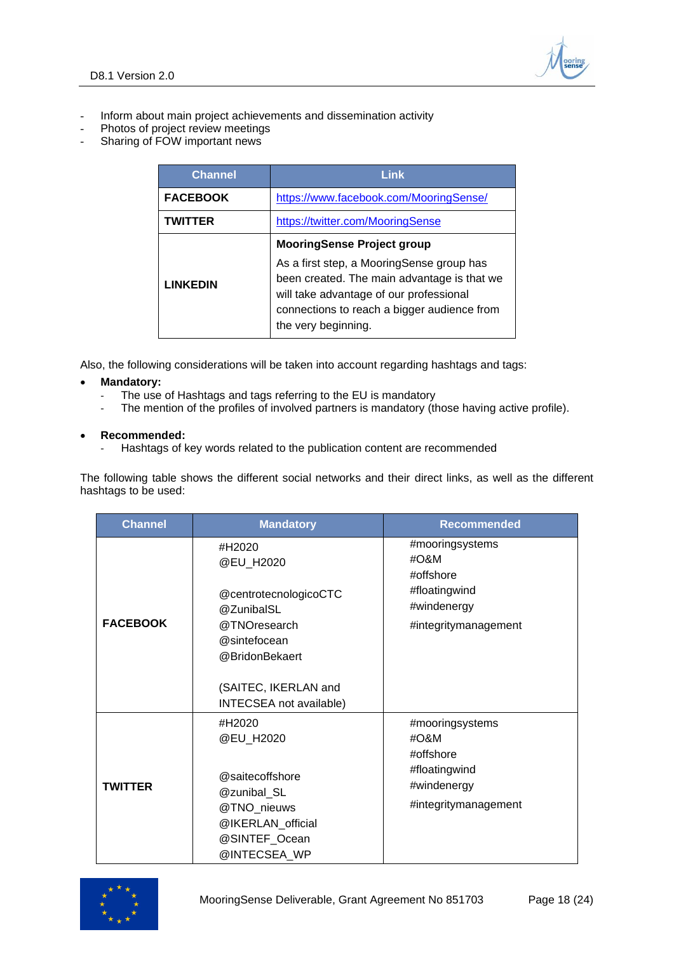

- Inform about main project achievements and dissemination activity
- Photos of project review meetings
- Sharing of FOW important news

| <b>Channel</b>  | Link                                                                                                                                                                                                                                           |  |
|-----------------|------------------------------------------------------------------------------------------------------------------------------------------------------------------------------------------------------------------------------------------------|--|
| <b>FACEBOOK</b> | https://www.facebook.com/MooringSense/                                                                                                                                                                                                         |  |
| <b>TWITTER</b>  | https://twitter.com/MooringSense                                                                                                                                                                                                               |  |
| <b>LINKEDIN</b> | <b>MooringSense Project group</b><br>As a first step, a MooringSense group has<br>been created. The main advantage is that we<br>will take advantage of our professional<br>connections to reach a bigger audience from<br>the very beginning. |  |

Also, the following considerations will be taken into account regarding hashtags and tags:

- **Mandatory:**
	- The use of Hashtags and tags referring to the EU is mandatory
	- The mention of the profiles of involved partners is mandatory (those having active profile).

#### • **Recommended:**

Hashtags of key words related to the publication content are recommended

The following table shows the different social networks and their direct links, as well as the different hashtags to be used:

| <b>Channel</b>  | <b>Mandatory</b>                                                                                                                                                | <b>Recommended</b>                                                                               |
|-----------------|-----------------------------------------------------------------------------------------------------------------------------------------------------------------|--------------------------------------------------------------------------------------------------|
| <b>FACEBOOK</b> | #H2020<br>@EU_H2020<br>@centrotecnologicoCTC<br>@ZunibalSL<br>@TNOresearch<br>@sintefocean<br>@BridonBekaert<br>(SAITEC, IKERLAN and<br>INTECSEA not available) | #mooringsystems<br>$\#O$ &M<br>#offshore<br>#floatingwind<br>#windenergy<br>#integritymanagement |
| <b>TWITTER</b>  | #H2020<br>@EU_H2020<br>@saitecoffshore<br>@zunibal_SL<br>@TNO_nieuws<br>@IKERLAN_official<br>@SINTEF_Ocean<br>@INTECSEA WP                                      | #mooringsystems<br>#O&M<br>#offshore<br>#floatingwind<br>#windenergy<br>#integritymanagement     |

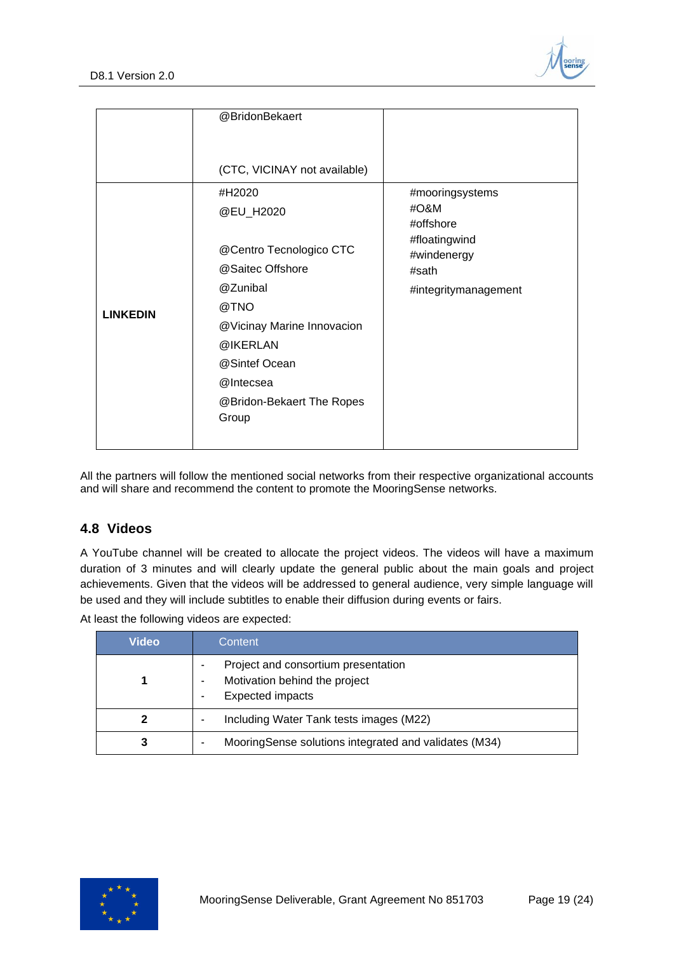

|                 | @BridonBekaert<br>(CTC, VICINAY not available)                                                                                                                                                       |                                                                                                       |
|-----------------|------------------------------------------------------------------------------------------------------------------------------------------------------------------------------------------------------|-------------------------------------------------------------------------------------------------------|
| <b>LINKEDIN</b> | #H2020<br>@EU_H2020<br>@Centro Tecnologico CTC<br>@Saitec Offshore<br>@Zunibal<br>@TNO<br>@Vicinay Marine Innovacion<br>@IKERLAN<br>@Sintef Ocean<br>@Intecsea<br>@Bridon-Bekaert The Ropes<br>Group | #mooringsystems<br>#O&M<br>#offshore<br>#floatingwind<br>#windenergy<br>#sath<br>#integritymanagement |

All the partners will follow the mentioned social networks from their respective organizational accounts and will share and recommend the content to promote the MooringSense networks.

### <span id="page-18-0"></span>**4.8 Videos**

A YouTube channel will be created to allocate the project videos. The videos will have a maximum duration of 3 minutes and will clearly update the general public about the main goals and project achievements. Given that the videos will be addressed to general audience, very simple language will be used and they will include subtitles to enable their diffusion during events or fairs.

At least the following videos are expected:

| Video | Content                                                                                         |
|-------|-------------------------------------------------------------------------------------------------|
|       | Project and consortium presentation<br>Motivation behind the project<br><b>Expected impacts</b> |
|       | Including Water Tank tests images (M22)                                                         |
| 3     | MooringSense solutions integrated and validates (M34)                                           |

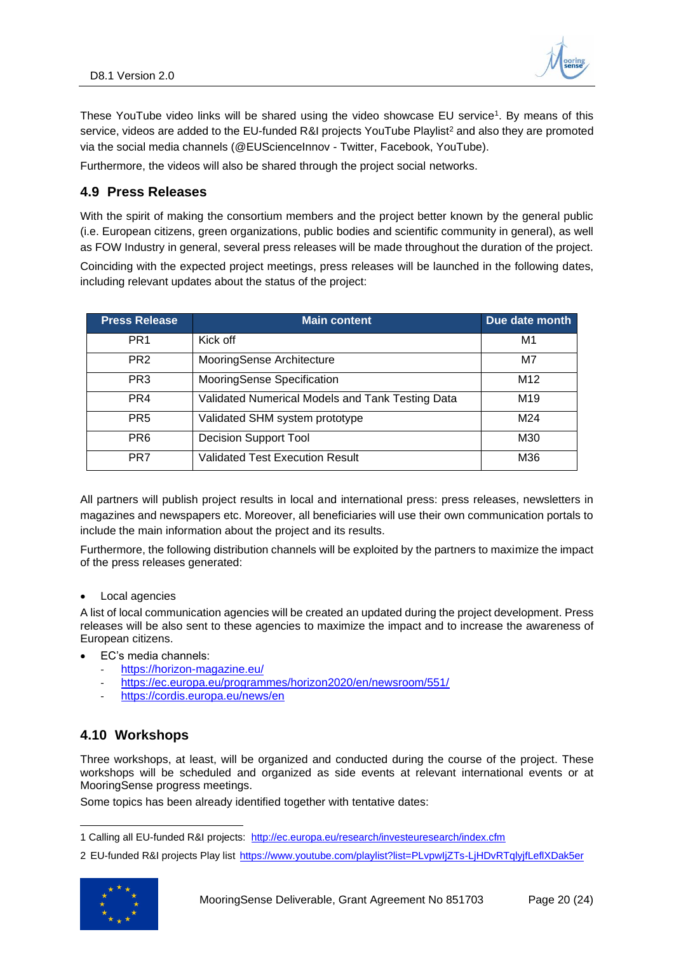

These YouTube video links will be shared using the video showcase EU service<sup>1</sup>. By means of this service, videos are added to the [EU-funded R&I projects YouTube Playlist](https://www.youtube.com/playlist?list=PLvpwIjZTs-LjHDvRTqlyjfLeflXDak5er)<sup>2</sup> and also they are promoted via the social media channels (@EUScienceInnov - Twitter, Facebook, YouTube).

Furthermore, the videos will also be shared through the project social networks.

### <span id="page-19-0"></span>**4.9 Press Releases**

With the spirit of making the consortium members and the project better known by the general public (i.e. European citizens, green organizations, public bodies and scientific community in general), as well as FOW Industry in general, several press releases will be made throughout the duration of the project.

Coinciding with the expected project meetings, press releases will be launched in the following dates, including relevant updates about the status of the project:

| <b>Press Release</b> | <b>Main content</b>                              | Due date month  |
|----------------------|--------------------------------------------------|-----------------|
| PR <sub>1</sub>      | Kick off                                         | M1              |
| PR <sub>2</sub>      | MooringSense Architecture                        | M7              |
| PR <sub>3</sub>      | MooringSense Specification                       | M <sub>12</sub> |
| PR4                  | Validated Numerical Models and Tank Testing Data | M19             |
| PR <sub>5</sub>      | Validated SHM system prototype                   | M24             |
| PR <sub>6</sub>      | <b>Decision Support Tool</b>                     | M30             |
| PR7                  | <b>Validated Test Execution Result</b>           | M36             |

All partners will publish project results in local and international press: press releases, newsletters in magazines and newspapers etc. Moreover, all beneficiaries will use their own communication portals to include the main information about the project and its results.

Furthermore, the following distribution channels will be exploited by the partners to maximize the impact of the press releases generated:

Local agencies

A list of local communication agencies will be created an updated during the project development. Press releases will be also sent to these agencies to maximize the impact and to increase the awareness of European citizens.

- EC's media channels:
	- <https://horizon-magazine.eu/>
	- <https://ec.europa.eu/programmes/horizon2020/en/newsroom/551/>
	- <https://cordis.europa.eu/news/en>

### <span id="page-19-1"></span>**4.10 Workshops**

Three workshops, at least, will be organized and conducted during the course of the project. These workshops will be scheduled and organized as side events at relevant international events or at MooringSense progress meetings.

Some topics has been already identified together with tentative dates:

<sup>2</sup> EU-funded R&I projects Play list <https://www.youtube.com/playlist?list=PLvpwIjZTs-LjHDvRTqlyjfLeflXDak5er>



<sup>1</sup> Calling all EU-funded R&I projects: <http://ec.europa.eu/research/investeuresearch/index.cfm>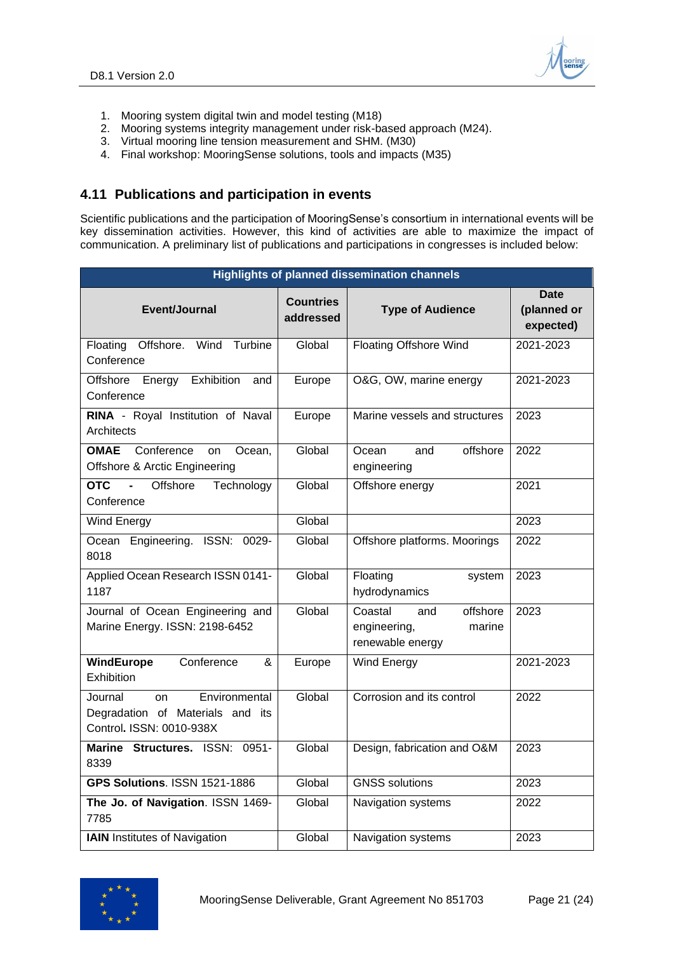

- 1. Mooring system digital twin and model testing (M18)
- 2. Mooring systems integrity management under risk-based approach (M24).
- 3. Virtual mooring line tension measurement and SHM. (M30)
- 4. Final workshop: MooringSense solutions, tools and impacts (M35)

### <span id="page-20-0"></span>**4.11 Publications and participation in events**

Scientific publications and the participation of MooringSense's consortium in international events will be key dissemination activities. However, this kind of activities are able to maximize the impact of communication. A preliminary list of publications and participations in congresses is included below:

|                                                                                                       |                               | <b>Highlights of planned dissemination channels</b>                      |                                         |  |  |  |  |  |  |
|-------------------------------------------------------------------------------------------------------|-------------------------------|--------------------------------------------------------------------------|-----------------------------------------|--|--|--|--|--|--|
| Event/Journal                                                                                         | <b>Countries</b><br>addressed | <b>Type of Audience</b>                                                  | <b>Date</b><br>(planned or<br>expected) |  |  |  |  |  |  |
| Floating<br>Offshore.<br>Wind<br>Turbine<br>Conference                                                | Global                        | <b>Floating Offshore Wind</b>                                            | 2021-2023                               |  |  |  |  |  |  |
| Energy Exhibition<br>Offshore<br>and<br>Conference                                                    | Europe                        | O&G, OW, marine energy                                                   |                                         |  |  |  |  |  |  |
| RINA - Royal Institution of Naval<br>Architects                                                       | Europe                        | Marine vessels and structures                                            | 2023                                    |  |  |  |  |  |  |
| <b>OMAE</b><br>Conference<br>Ocean,<br><b>on</b><br><b>Offshore &amp; Arctic Engineering</b>          | Global                        | offshore<br>Ocean<br>and<br>engineering                                  | 2022                                    |  |  |  |  |  |  |
| <b>OTC</b><br>Offshore<br>$\blacksquare$<br>Technology<br>Conference                                  | Global                        | Offshore energy                                                          | 2021                                    |  |  |  |  |  |  |
| <b>Wind Energy</b>                                                                                    | Global                        |                                                                          | 2023                                    |  |  |  |  |  |  |
| Ocean Engineering. ISSN: 0029-<br>8018                                                                | Global                        | Offshore platforms. Moorings                                             | 2022                                    |  |  |  |  |  |  |
| Applied Ocean Research ISSN 0141-<br>1187                                                             | Global                        | Floating<br>system<br>hydrodynamics                                      | 2023                                    |  |  |  |  |  |  |
| Journal of Ocean Engineering and<br>Marine Energy. ISSN: 2198-6452                                    | Global                        | offshore<br>Coastal<br>and<br>engineering,<br>marine<br>renewable energy | 2023                                    |  |  |  |  |  |  |
| <b>WindEurope</b><br>Conference<br>$\overline{\mathbf{g}}$<br>Exhibition                              | Europe                        | <b>Wind Energy</b>                                                       | 2021-2023                               |  |  |  |  |  |  |
| Environmental<br>Journal<br><b>on</b><br>Degradation of Materials and its<br>Control. ISSN: 0010-938X | Global                        | Corrosion and its control                                                | 2022                                    |  |  |  |  |  |  |
| Marine Structures. ISSN: 0951-<br>8339                                                                | Global                        | Design, fabrication and O&M                                              | 2023                                    |  |  |  |  |  |  |
| <b>GPS Solutions. ISSN 1521-1886</b>                                                                  | Global                        | <b>GNSS solutions</b>                                                    | 2023                                    |  |  |  |  |  |  |
| The Jo. of Navigation. ISSN 1469-<br>7785                                                             | Global                        | Navigation systems                                                       | 2022                                    |  |  |  |  |  |  |
| <b>IAIN</b> Institutes of Navigation                                                                  | Global                        | Navigation systems                                                       | 2023                                    |  |  |  |  |  |  |

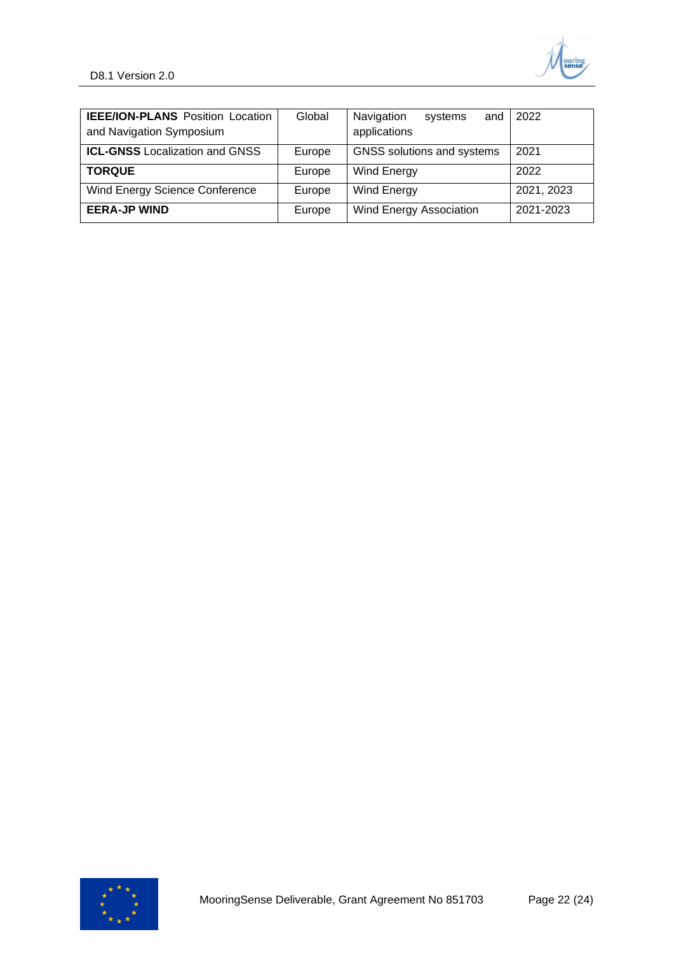

| <b>IEEE/ION-PLANS</b> Position Location<br>and Navigation Symposium | Global | Navigation<br>and<br>systems<br>applications | $\mid$ 2022 |  |  |  |  |
|---------------------------------------------------------------------|--------|----------------------------------------------|-------------|--|--|--|--|
| <b>ICL-GNSS</b> Localization and GNSS                               | Europe | GNSS solutions and systems                   | 2021        |  |  |  |  |
| <b>TORQUE</b>                                                       | Europe | Wind Energy                                  | 2022        |  |  |  |  |
| <b>Wind Energy Science Conference</b>                               | Europe | Wind Energy                                  | 2021, 2023  |  |  |  |  |
| <b>EERA-JP WIND</b>                                                 | Europe | <b>Wind Energy Association</b>               | 2021-2023   |  |  |  |  |

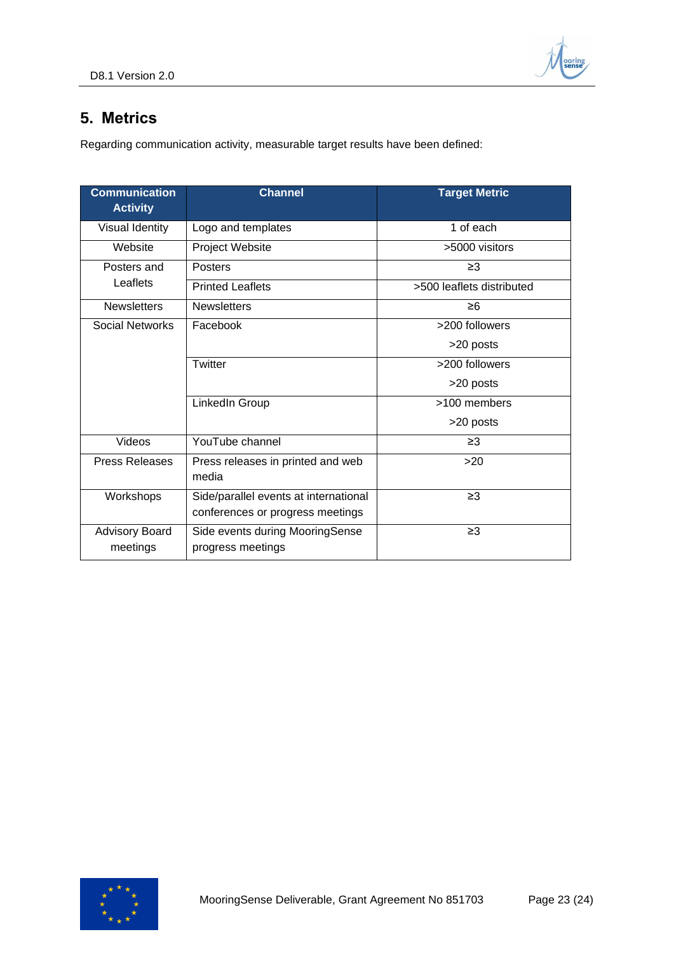

## <span id="page-22-0"></span>**5. Metrics**

Regarding communication activity, measurable target results have been defined:

| <b>Communication</b><br><b>Activity</b> | <b>Channel</b>                                                            | <b>Target Metric</b>      |
|-----------------------------------------|---------------------------------------------------------------------------|---------------------------|
| <b>Visual Identity</b>                  | Logo and templates                                                        | 1 of each                 |
| Website                                 | Project Website                                                           | >5000 visitors            |
| Posters and                             | <b>Posters</b>                                                            | $\geq$ 3                  |
| Leaflets                                | <b>Printed Leaflets</b>                                                   | >500 leaflets distributed |
| <b>Newsletters</b>                      | <b>Newsletters</b>                                                        | $\geq 6$                  |
| Social Networks                         | Facebook                                                                  | >200 followers            |
|                                         |                                                                           | >20 posts                 |
|                                         | Twitter                                                                   | >200 followers            |
|                                         |                                                                           | >20 posts                 |
|                                         | LinkedIn Group                                                            | >100 members              |
|                                         |                                                                           | >20 posts                 |
| Videos                                  | YouTube channel                                                           | $\geq$ 3                  |
| <b>Press Releases</b>                   | Press releases in printed and web<br>media                                | >20                       |
| Workshops                               | Side/parallel events at international<br>conferences or progress meetings | $\geq$ 3                  |
| <b>Advisory Board</b><br>meetings       | Side events during MooringSense<br>progress meetings                      | $\geq$ 3                  |